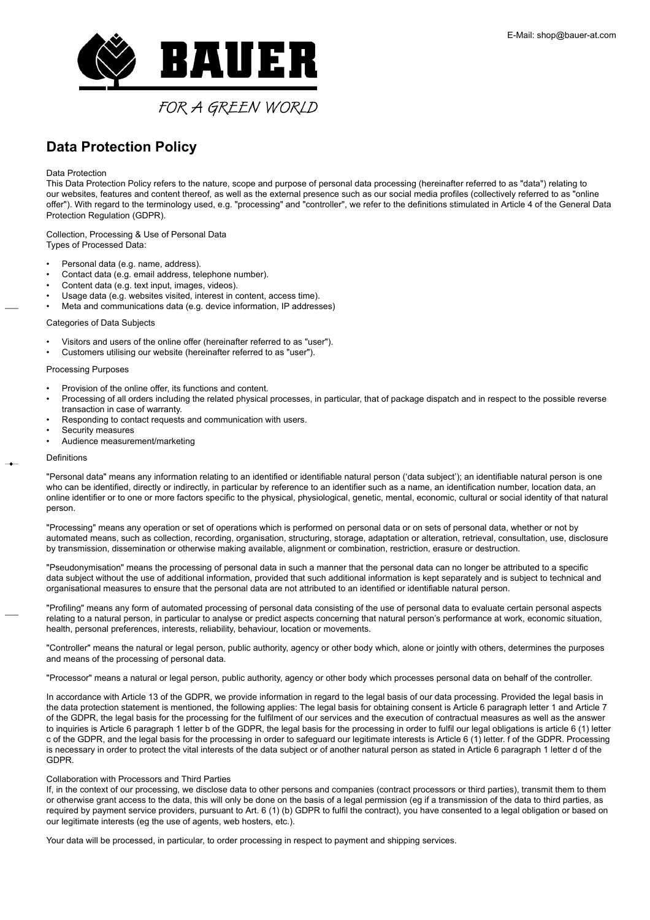<span id="page-0-0"></span>

## **Data Protection Policy**

## Data Protection

This Data Protection Policy refers to the nature, scope and purpose of personal data processing (hereinafter referred to as "data") relating to our websites, features and content thereof, as well as the external presence such as our social media profiles (collectively referred to as "online offer"). With regard to the terminology used, e.g. "processing" and "controller", we refer to the definitions stimulated in Article 4 of the General Data Protection Regulation (GDPR).

Collection, Processing & Use of Personal Data Types of Processed Data:

- Personal data (e.g. name, address).
- Contact data (e.g. email address, telephone number).
- Content data (e.g. text input, images, videos).
- Usage data (e.g. websites visited, interest in content, access time).
- Meta and communications data (e.g. device information, IP addresses)

## Categories of Data Subjects

- Visitors and users of the online offer (hereinafter referred to as "user").
- Customers utilising our website (hereinafter referred to as "user").

## Processing Purposes

- Provision of the online offer, its functions and content.
- Processing of all orders including the related physical processes, in particular, that of package dispatch and in respect to the possible reverse transaction in case of warranty.
- Responding to contact requests and communication with users.
- Security measures
- Audience measurement/marketing

#### Definitions

"Personal data" means any information relating to an identified or identifiable natural person ('data subject'); an identifiable natural person is one who can be identified, directly or indirectly, in particular by reference to an identifier such as a name, an identification number, location data, an online identifier or to one or more factors specific to the physical, physiological, genetic, mental, economic, cultural or social identity of that natural person.

"Processing" means any operation or set of operations which is performed on personal data or on sets of personal data, whether or not by automated means, such as collection, recording, organisation, structuring, storage, adaptation or alteration, retrieval, consultation, use, disclosure by transmission, dissemination or otherwise making available, alignment or combination, restriction, erasure or destruction.

"Pseudonymisation" means the processing of personal data in such a manner that the personal data can no longer be attributed to a specific data subject without the use of additional information, provided that such additional information is kept separately and is subject to technical and organisational measures to ensure that the personal data are not attributed to an identified or identifiable natural person.

"Profiling" means any form of automated processing of personal data consisting of the use of personal data to evaluate certain personal aspects relating to a natural person, in particular to analyse or predict aspects concerning that natural person's performance at work, economic situation, health, personal preferences, interests, reliability, behaviour, location or movements.

"Controller" means the natural or legal person, public authority, agency or other body which, alone or jointly with others, determines the purposes and means of the processing of personal data.

"Processor" means a natural or legal person, public authority, agency or other body which processes personal data on behalf of the controller.

In accordance with Article 13 of the GDPR, we provide information in regard to the legal basis of our data processing. Provided the legal basis in the data protection statement is mentioned, the following applies: The legal basis for obtaining consent is Article 6 paragraph letter 1 and Article 7 of the GDPR, the legal basis for the processing for the fulfilment of our services and the execution of contractual measures as well as the answer to inquiries is Article 6 paragraph 1 letter b of the GDPR, the legal basis for the processing in order to fulfil our legal obligations is article 6 (1) letter c of the GDPR, and the legal basis for the processing in order to safeguard our legitimate interests is Article 6 (1) letter. f of the GDPR. Processing is necessary in order to protect the vital interests of the data subject or of another natural person as stated in Article 6 paragraph 1 letter d of the GDPR.

### Collaboration with Processors and Third Parties

If, in the context of our processing, we disclose data to other persons and companies (contract processors or third parties), transmit them to them or otherwise grant access to the data, this will only be done on the basis of a legal permission (eg if a transmission of the data to third parties, as required by payment service providers, pursuant to Art. 6 (1) (b) GDPR to fulfil the contract), you have consented to a legal obligation or based on our legitimate interests (eg the use of agents, web hosters, etc.).

Your data will be processed, in particular, to order processing in respect to payment and shipping services.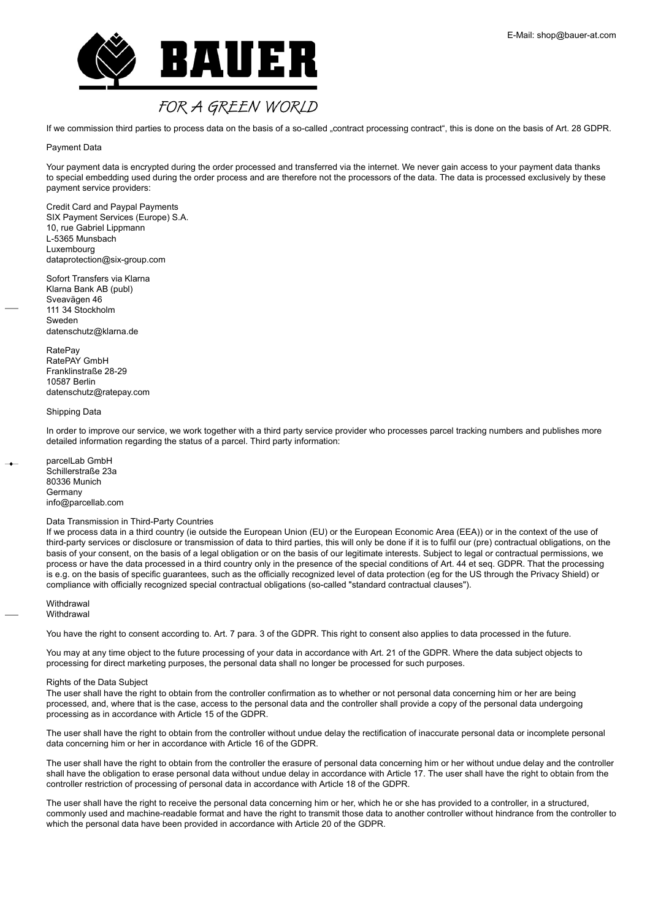

If we commission third parties to process data on the basis of a so-called "contract processing contract", this is done on the basis of Art. 28 GDPR.

## Payment Data

Your payment data is encrypted during the order processed and transferred via the internet. We never gain access to your payment data thanks to special embedding used during the order process and are therefore not the processors of the data. The data is processed exclusively by these payment service providers:

Credit Card and Paypal Payments SIX Payment Services (Europe) S.A. 10, rue Gabriel Lippmann L-5365 Munsbach Luxembourg dataprotection@six-group.com

Sofort Transfers via Klarna Klarna Bank AB (publ) Sveavägen 46 111 34 Stockholm Sweden datenschutz@klarna.de

RatePay RatePAY GmbH Franklinstraße 28-29 10587 Berlin datenschutz@ratepay.com

## Shipping Data

In order to improve our service, we work together with a third party service provider who processes parcel tracking numbers and publishes more detailed information regarding the status of a parcel. Third party information:

parcelLab GmbH Schillerstraße 23a 80336 Munich **Germany** info@parcellab.com

## Data Transmission in Third-Party Countries

If we process data in a third country (ie outside the European Union (EU) or the European Economic Area (EEA)) or in the context of the use of third-party services or disclosure or transmission of data to third parties, this will only be done if it is to fulfil our (pre) contractual obligations, on the basis of your consent, on the basis of a legal obligation or on the basis of our legitimate interests. Subject to legal or contractual permissions, we process or have the data processed in a third country only in the presence of the special conditions of Art. 44 et seq. GDPR. That the processing is e.g. on the basis of specific guarantees, such as the officially recognized level of data protection (eg for the US through the Privacy Shield) or compliance with officially recognized special contractual obligations (so-called "standard contractual clauses").

**Withdrawal Withdrawal** 

You have the right to consent according to. Art. 7 para. 3 of the GDPR. This right to consent also applies to data processed in the future.

You may at any time object to the future processing of your data in accordance with Art. 21 of the GDPR. Where the data subject objects to processing for direct marketing purposes, the personal data shall no longer be processed for such purposes.

#### Rights of the Data Subject

The user shall have the right to obtain from the controller confirmation as to whether or not personal data concerning him or her are being processed, and, where that is the case, access to the personal data and the controller shall provide a copy of the personal data undergoing processing as in accordance with Article 15 of the GDPR.

The user shall have the right to obtain from the controller without undue delay the rectification of inaccurate personal data or incomplete personal data concerning him or her in accordance with Article 16 of the GDPR.

The user shall have the right to obtain from the controller the erasure of personal data concerning him or her without undue delay and the controller shall have the obligation to erase personal data without undue delay in accordance with Article 17. The user shall have the right to obtain from the controller restriction of processing of personal data in accordance with Article 18 of the GDPR.

The user shall have the right to receive the personal data concerning him or her, which he or she has provided to a controller, in a structured, commonly used and machine-readable format and have the right to transmit those data to another controller without hindrance from the controller to which the personal data have been provided in accordance with Article 20 of the GDPR.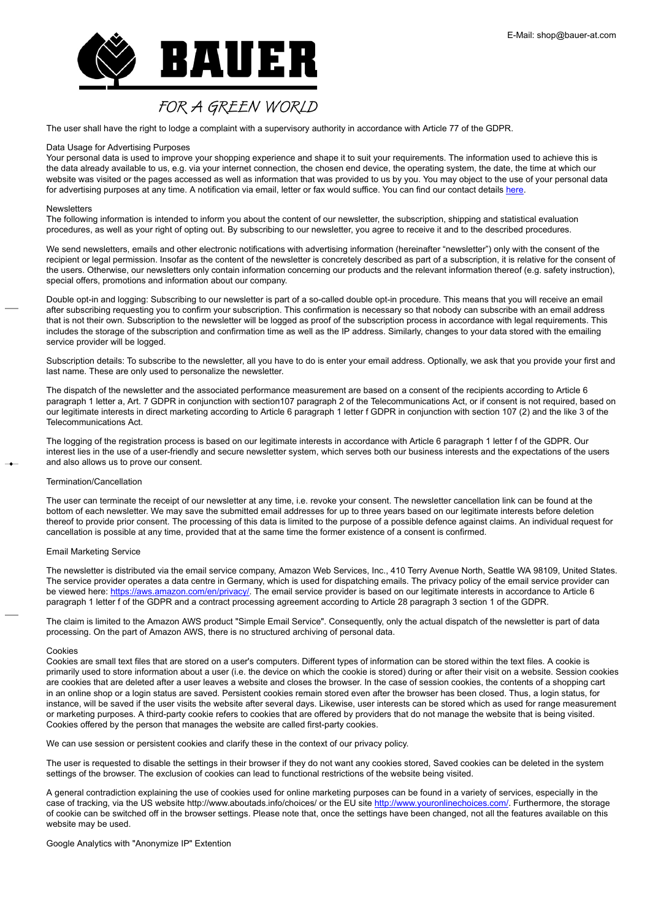

The user shall have the right to lodge a complaint with a supervisory authority in accordance with Article 77 of the GDPR.

## Data Usage for Advertising Purposes

Your personal data is used to improve your shopping experience and shape it to suit your requirements. The information used to achieve this is the data already available to us, e.g. via your internet connection, the chosen end device, the operating system, the date, the time at which our website was visited or the pages accessed as well as information that was provided to us by you. You may object to the use of your personal data for advertising purposes at any time. A notification via email, letter or fax would suffice. You can find our contact details [here](http://https://shop.bauer-at.com/de-AT/info/kontakt).

## Newsletters

The following information is intended to inform you about the content of our newsletter, the subscription, shipping and statistical evaluation procedures, as well as your right of opting out. By subscribing to our newsletter, you agree to receive it and to the described procedures.

We send newsletters, emails and other electronic notifications with advertising information (hereinafter "newsletter") only with the consent of the recipient or legal permission. Insofar as the content of the newsletter is concretely described as part of a subscription, it is relative for the consent of the users. Otherwise, our newsletters only contain information concerning our products and the relevant information thereof (e.g. safety instruction), special offers, promotions and information about our company.

Double opt-in and logging: Subscribing to our newsletter is part of a so-called double opt-in procedure. This means that you will receive an email after subscribing requesting you to confirm your subscription. This confirmation is necessary so that nobody can subscribe with an email address that is not their own. Subscription to the newsletter will be logged as proof of the subscription process in accordance with legal requirements. This includes the storage of the subscription and confirmation time as well as the IP address. Similarly, changes to your data stored with the emailing service provider will be logged.

Subscription details: To subscribe to the newsletter, all you have to do is enter your email address. Optionally, we ask that you provide your first and last name. These are only used to personalize the newsletter.

The dispatch of the newsletter and the associated performance measurement are based on a consent of the recipients according to Article 6 paragraph 1 letter a, Art. 7 GDPR in conjunction with section107 paragraph 2 of the Telecommunications Act, or if consent is not required, based on our legitimate interests in direct marketing according to Article 6 paragraph 1 letter f GDPR in conjunction with section 107 (2) and the like 3 of the Telecommunications Act.

The logging of the registration process is based on our legitimate interests in accordance with Article 6 paragraph 1 letter f of the GDPR. Our interest lies in the use of a user-friendly and secure newsletter system, which serves both our business interests and the expectations of the users and also allows us to prove our consent.

### Termination/Cancellation

The user can terminate the receipt of our newsletter at any time, i.e. revoke your consent. The newsletter cancellation link can be found at the bottom of each newsletter. We may save the submitted email addresses for up to three years based on our legitimate interests before deletion thereof to provide prior consent. The processing of this data is limited to the purpose of a possible defence against claims. An individual request for cancellation is possible at any time, provided that at the same time the former existence of a consent is confirmed.

## Email Marketing Service

The newsletter is distributed via the email service company, Amazon Web Services, Inc., 410 Terry Avenue North, Seattle WA 98109, United States. The service provider operates a data centre in Germany, which is used for dispatching emails. The privacy policy of the email service provider can be viewed here: [https://aws.amazon.com/en/privacy/](https://aws.amazon.com/privacy/?nc1=h_ls). The email service provider is based on our legitimate interests in accordance to Article 6 paragraph 1 letter f of the GDPR and a contract processing agreement according to Article 28 paragraph 3 section 1 of the GDPR.

The claim is limited to the Amazon AWS product "Simple Email Service". Consequently, only the actual dispatch of the newsletter is part of data processing. On the part of Amazon AWS, there is no structured archiving of personal data.

#### Cookies

Cookies are small text files that are stored on a user's computers. Different types of information can be stored within the text files. A cookie is primarily used to store information about a user (i.e. the device on which the cookie is stored) during or after their visit on a website. Session cookies are cookies that are deleted after a user leaves a website and closes the browser. In the case of session cookies, the contents of a shopping cart in an online shop or a login status are saved. Persistent cookies remain stored even after the browser has been closed. Thus, a login status, for instance, will be saved if the user visits the website after several days. Likewise, user interests can be stored which as used for range measurement or marketing purposes. A third-party cookie refers to cookies that are offered by providers that do not manage the website that is being visited. Cookies offered by the person that manages the website are called first-party cookies.

We can use session or persistent cookies and clarify these in the context of our privacy policy.

The user is requested to disable the settings in their browser if they do not want any cookies stored, Saved cookies can be deleted in the system settings of the browser. The exclusion of cookies can lead to functional restrictions of the website being visited.

A general contradiction explaining the use of cookies used for online marketing purposes can be found in a variety of services, especially in the case of tracking, via the US website http://www.aboutads.info/choices/ or the EU site [http://www.youronlinechoices.com/](https://www.youronlinechoices.com/). Furthermore, the storage of cookie can be switched off in the browser settings. Please note that, once the settings have been changed, not all the features available on this website may be used.

Google Analytics with "Anonymize IP" Extention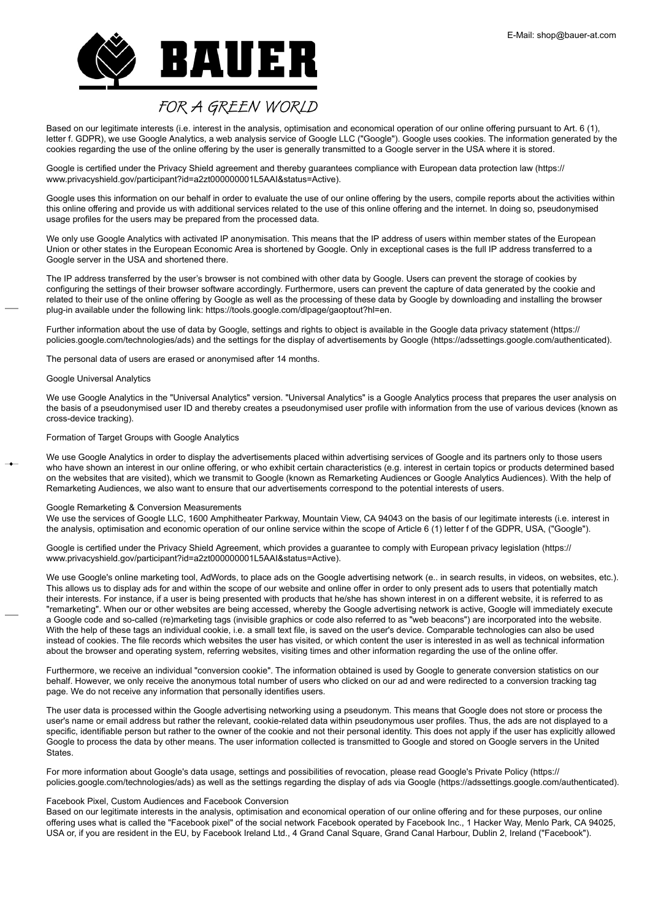

Based on our legitimate interests (i.e. interest in the analysis, optimisation and economical operation of our online offering pursuant to Art. 6 (1), letter f. GDPR), we use Google Analytics, a web analysis service of Google LLC ("Google"). Google uses cookies. The information generated by the cookies regarding the use of the online offering by the user is generally transmitted to a Google server in the USA where it is stored.

Google is certified under the Privacy Shield agreement and thereby guarantees compliance with European data protection law (https:// www.privacyshield.gov/participant?id=a2zt000000001L5AAI&status=Active).

Google uses this information on our behalf in order to evaluate the use of our online offering by the users, compile reports about the activities within this online offering and provide us with additional services related to the use of this online offering and the internet. In doing so, pseudonymised usage profiles for the users may be prepared from the processed data.

We only use Google Analytics with activated IP anonymisation. This means that the IP address of users within member states of the European Union or other states in the European Economic Area is shortened by Google. Only in exceptional cases is the full IP address transferred to a Google server in the USA and shortened there.

The IP address transferred by the user's browser is not combined with other data by Google. Users can prevent the storage of cookies by configuring the settings of their browser software accordingly. Furthermore, users can prevent the capture of data generated by the cookie and related to their use of the online offering by Google as well as the processing of these data by Google by downloading and installing the browser plug-in available under the following link: https://tools.google.com/dlpage/gaoptout?hl=en.

Further information about the use of data by Google, settings and rights to object is available in the Google data privacy statement (https:// policies.google.com/technologies/ads) and the settings for the display of advertisements by Google (https://adssettings.google.com/authenticated).

The personal data of users are erased or anonymised after 14 months.

### Google Universal Analytics

We use Google Analytics in the "Universal Analytics" version. "Universal Analytics" is a Google Analytics process that prepares the user analysis on the basis of a pseudonymised user ID and thereby creates a pseudonymised user profile with information from the use of various devices (known as cross-device tracking).

## Formation of Target Groups with Google Analytics

We use Google Analytics in order to display the advertisements placed within advertising services of Google and its partners only to those users who have shown an interest in our online offering, or who exhibit certain characteristics (e.g. interest in certain topics or products determined based on the websites that are visited), which we transmit to Google (known as Remarketing Audiences or Google Analytics Audiences). With the help of Remarketing Audiences, we also want to ensure that our advertisements correspond to the potential interests of users.

### Google Remarketing & Conversion Measurements

We use the services of Google LLC, 1600 Amphitheater Parkway, Mountain View, CA 94043 on the basis of our legitimate interests (i.e. interest in the analysis, optimisation and economic operation of our online service within the scope of Article 6 (1) letter f of the GDPR, USA, ("Google").

Google is certified under the Privacy Shield Agreement, which provides a guarantee to comply with European privacy legislation (https:// www.privacyshield.gov/participant?id=a2zt000000001L5AAI&status=Active).

We use Google's online marketing tool, AdWords, to place ads on the Google advertising network (e.. in search results, in videos, on websites, etc.). This allows us to display ads for and within the scope of our website and online offer in order to only present ads to users that potentially match their interests. For instance, if a user is being presented with products that he/she has shown interest in on a different website, it is referred to as "remarketing". When our or other websites are being accessed, whereby the Google advertising network is active, Google will immediately execute a Google code and so-called (re)marketing tags (invisible graphics or code also referred to as "web beacons") are incorporated into the website. With the help of these tags an individual cookie, i.e. a small text file, is saved on the user's device. Comparable technologies can also be used instead of cookies. The file records which websites the user has visited, or which content the user is interested in as well as technical information about the browser and operating system, referring websites, visiting times and other information regarding the use of the online offer.

Furthermore, we receive an individual "conversion cookie". The information obtained is used by Google to generate conversion statistics on our behalf. However, we only receive the anonymous total number of users who clicked on our ad and were redirected to a conversion tracking tag page. We do not receive any information that personally identifies users.

The user data is processed within the Google advertising networking using a pseudonym. This means that Google does not store or process the user's name or email address but rather the relevant, cookie-related data within pseudonymous user profiles. Thus, the ads are not displayed to a specific, identifiable person but rather to the owner of the cookie and not their personal identity. This does not apply if the user has explicitly allowed Google to process the data by other means. The user information collected is transmitted to Google and stored on Google servers in the United **States** 

For more information about Google's data usage, settings and possibilities of revocation, please read Google's Private Policy (https:// policies.google.com/technologies/ads) as well as the settings regarding the display of ads via Google (https://adssettings.google.com/authenticated).

### Facebook Pixel, Custom Audiences and Facebook Conversion

Based on our legitimate interests in the analysis, optimisation and economical operation of our online offering and for these purposes, our online offering uses what is called the "Facebook pixel" of the social network Facebook operated by Facebook Inc., 1 Hacker Way, Menlo Park, CA 94025, USA or, if you are resident in the EU, by Facebook Ireland Ltd., 4 Grand Canal Square, Grand Canal Harbour, Dublin 2, Ireland ("Facebook").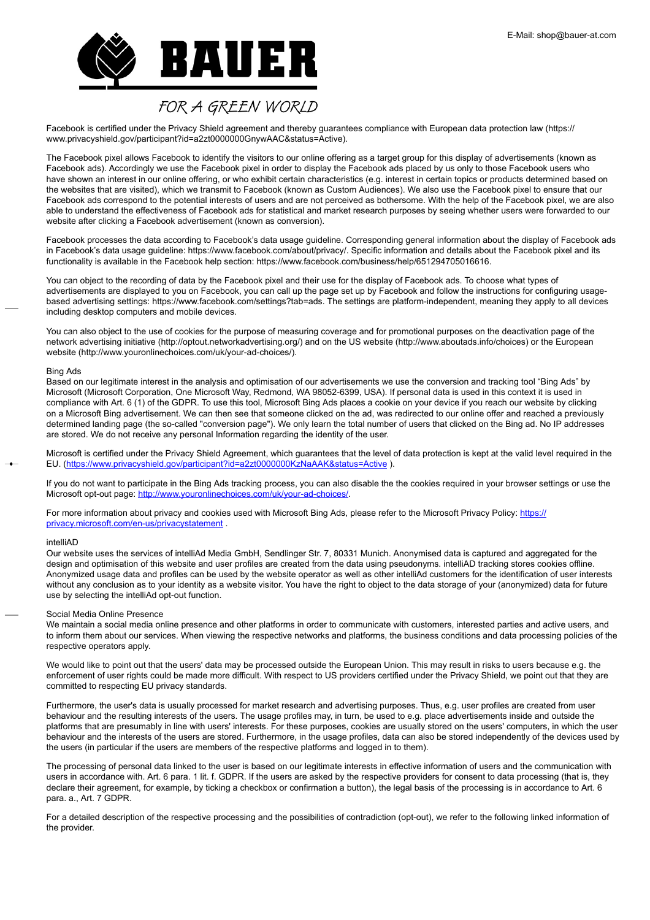

Facebook is certified under the Privacy Shield agreement and thereby guarantees compliance with European data protection law (https:// www.privacyshield.gov/participant?id=a2zt0000000GnywAAC&status=Active).

The Facebook pixel allows Facebook to identify the visitors to our online offering as a target group for this display of advertisements (known as Facebook ads). Accordingly we use the Facebook pixel in order to display the Facebook ads placed by us only to those Facebook users who have shown an interest in our online offering, or who exhibit certain characteristics (e.g. interest in certain topics or products determined based on the websites that are visited), which we transmit to Facebook (known as Custom Audiences). We also use the Facebook pixel to ensure that our Facebook ads correspond to the potential interests of users and are not perceived as bothersome. With the help of the Facebook pixel, we are also able to understand the effectiveness of Facebook ads for statistical and market research purposes by seeing whether users were forwarded to our website after clicking a Facebook advertisement (known as conversion).

Facebook processes the data according to Facebook's data usage guideline. Corresponding general information about the display of Facebook ads in Facebook's data usage guideline: https://www.facebook.com/about/privacy/. Specific information and details about the Facebook pixel and its functionality is available in the Facebook help section: https://www.facebook.com/business/help/651294705016616.

You can object to the recording of data by the Facebook pixel and their use for the display of Facebook ads. To choose what types of advertisements are displayed to you on Facebook, you can call up the page set up by Facebook and follow the instructions for configuring usagebased advertising settings: https://www.facebook.com/settings?tab=ads. The settings are platform-independent, meaning they apply to all devices including desktop computers and mobile devices.

You can also object to the use of cookies for the purpose of measuring coverage and for promotional purposes on the deactivation page of the network advertising initiative (http://optout.networkadvertising.org/) and on the US website (http://www.aboutads.info/choices) or the European website (http://www.youronlinechoices.com/uk/your-ad-choices/).

### Bing Ads

Based on our legitimate interest in the analysis and optimisation of our advertisements we use the conversion and tracking tool "Bing Ads" by Microsoft (Microsoft Corporation, One Microsoft Way, Redmond, WA 98052-6399, USA). If personal data is used in this context it is used in compliance with Art. 6 (1) of the GDPR. To use this tool, Microsoft Bing Ads places a cookie on your device if you reach our website by clicking on a Microsoft Bing advertisement. We can then see that someone clicked on the ad, was redirected to our online offer and reached a previously determined landing page (the so-called "conversion page"). We only learn the total number of users that clicked on the Bing ad. No IP addresses are stored. We do not receive any personal Information regarding the identity of the user.

Microsoft is certified under the Privacy Shield Agreement, which guarantees that the level of data protection is kept at the valid level required in the EU. (<https://www.privacyshield.gov/participant?id=a2zt0000000KzNaAAK&status=Active> ).

If you do not want to participate in the Bing Ads tracking process, you can also disable the the cookies required in your browser settings or use the Microsoft opt-out page: [http://www.youronlinechoices.com/uk/your-ad-choices/.](http://www.youronlinechoices.com/uk/your-ad-choices/)

For more information about privacy and cookies used with Microsoft Bing Ads, please refer to the Microsoft Privacy Policy: [https://](https://privacy.microsoft.com/de-de/privacystatement) [privacy.microsoft.com/en-us/privacystatement](https://privacy.microsoft.com/de-de/privacystatement) .

## intelliAD

Our website uses the services of intelliAd Media GmbH, Sendlinger Str. 7, 80331 Munich. Anonymised data is captured and aggregated for the design and optimisation of this website and user profiles are created from the data using pseudonyms. intelliAD tracking stores cookies offline. Anonymized usage data and profiles can be used by the website operator as well as other intelliAd customers for the identification of user interests without any conclusion as to your identity as a website visitor. You have the right to object to the data storage of your (anonymized) data for future use by selecting the intelliAd opt-out function.

### Social Media Online Presence

We maintain a social media online presence and other platforms in order to communicate with customers, interested parties and active users, and to inform them about our services. When viewing the respective networks and platforms, the business conditions and data processing policies of the respective operators apply.

We would like to point out that the users' data may be processed outside the European Union. This may result in risks to users because e.g. the enforcement of user rights could be made more difficult. With respect to US providers certified under the Privacy Shield, we point out that they are committed to respecting EU privacy standards.

Furthermore, the user's data is usually processed for market research and advertising purposes. Thus, e.g. user profiles are created from user behaviour and the resulting interests of the users. The usage profiles may, in turn, be used to e.g. place advertisements inside and outside the platforms that are presumably in line with users' interests. For these purposes, cookies are usually stored on the users' computers, in which the user behaviour and the interests of the users are stored. Furthermore, in the usage profiles, data can also be stored independently of the devices used by the users (in particular if the users are members of the respective platforms and logged in to them).

The processing of personal data linked to the user is based on our legitimate interests in effective information of users and the communication with users in accordance with. Art. 6 para. 1 lit. f. GDPR. If the users are asked by the respective providers for consent to data processing (that is, they declare their agreement, for example, by ticking a checkbox or confirmation a button), the legal basis of the processing is in accordance to Art. 6 para. a., Art. 7 GDPR.

For a detailed description of the respective processing and the possibilities of contradiction (opt-out), we refer to the following linked information of the provider.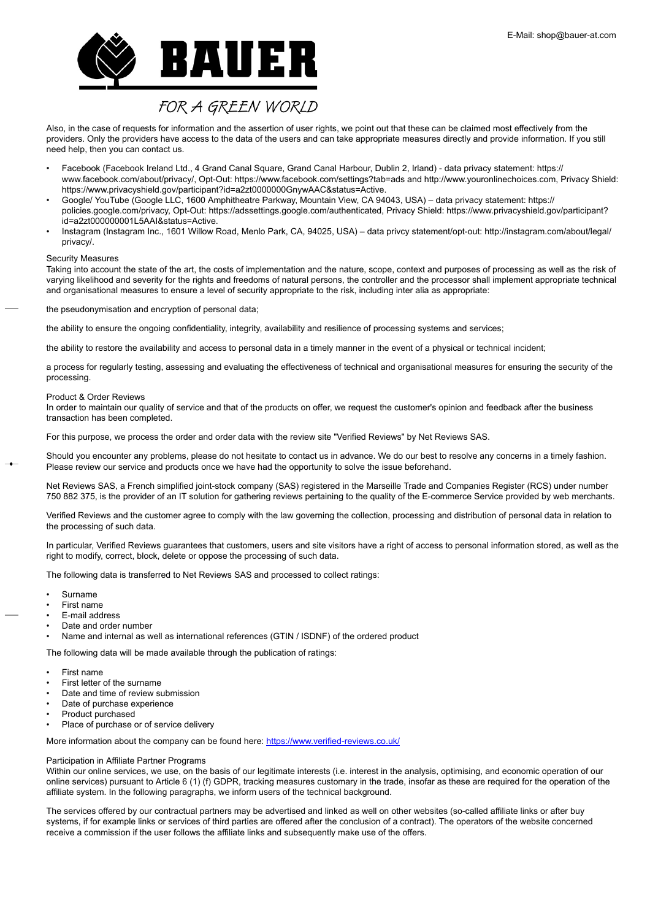

Also, in the case of requests for information and the assertion of user rights, we point out that these can be claimed most effectively from the providers. Only the providers have access to the data of the users and can take appropriate measures directly and provide information. If you still need help, then you can contact us.

- Facebook (Facebook Ireland Ltd., 4 Grand Canal Square, Grand Canal Harbour, Dublin 2, Irland) data privacy statement: https:// www.facebook.com/about/privacy/, Opt-Out: https://www.facebook.com/settings?tab=ads and http://www.youronlinechoices.com, Privacy Shield: https://www.privacyshield.gov/participant?id=a2zt0000000GnywAAC&status=Active.
- Google/ YouTube (Google LLC, 1600 Amphitheatre Parkway, Mountain View, CA 94043, USA) data privacy statement: https:// policies.google.com/privacy, Opt-Out: https://adssettings.google.com/authenticated, Privacy Shield: https://www.privacyshield.gov/participant? id=a2zt000000001L5AAI&status=Active.
- Instagram (Instagram Inc., 1601 Willow Road, Menlo Park, CA, 94025, USA) data privcy statement/opt-out: http://instagram.com/about/legal/ privacy/.

### Security Measures

Taking into account the state of the art, the costs of implementation and the nature, scope, context and purposes of processing as well as the risk of varying likelihood and severity for the rights and freedoms of natural persons, the controller and the processor shall implement appropriate technical and organisational measures to ensure a level of security appropriate to the risk, including inter alia as appropriate:

the pseudonymisation and encryption of personal data;

the ability to ensure the ongoing confidentiality, integrity, availability and resilience of processing systems and services;

the ability to restore the availability and access to personal data in a timely manner in the event of a physical or technical incident;

a process for regularly testing, assessing and evaluating the effectiveness of technical and organisational measures for ensuring the security of the processing.

#### Product & Order Reviews

In order to maintain our quality of service and that of the products on offer, we request the customer's opinion and feedback after the business transaction has been completed.

For this purpose, we process the order and order data with the review site "Verified Reviews" by Net Reviews SAS.

Should you encounter any problems, please do not hesitate to contact us in advance. We do our best to resolve any concerns in a timely fashion. Please review our service and products once we have had the opportunity to solve the issue beforehand.

Net Reviews SAS, a French simplified joint-stock company (SAS) registered in the Marseille Trade and Companies Register (RCS) under number 750 882 375, is the provider of an IT solution for gathering reviews pertaining to the quality of the E-commerce Service provided by web merchants.

Verified Reviews and the customer agree to comply with the law governing the collection, processing and distribution of personal data in relation to the processing of such data.

In particular, Verified Reviews guarantees that customers, users and site visitors have a right of access to personal information stored, as well as the right to modify, correct, block, delete or oppose the processing of such data.

The following data is transferred to Net Reviews SAS and processed to collect ratings:

- Surname
- First name
- E-mail address
- Date and order number
- Name and internal as well as international references (GTIN / ISDNF) of the ordered product

The following data will be made available through the publication of ratings:

- First name
- First letter of the surname
- Date and time of review submission
- Date of purchase experience
- Product purchased
- Place of purchase or of service delivery

More information about the company can be found here: <https://www.verified-reviews.co.uk/>

## Participation in Affiliate Partner Programs

Within our online services, we use, on the basis of our legitimate interests (i.e. interest in the analysis, optimising, and economic operation of our online services) pursuant to Article 6 (1) (f) GDPR, tracking measures customary in the trade, insofar as these are required for the operation of the affiliate system. In the following paragraphs, we inform users of the technical background.

The services offered by our contractual partners may be advertised and linked as well on other websites (so-called affiliate links or after buy systems, if for example links or services of third parties are offered after the conclusion of a contract). The operators of the website concerned receive a commission if the user follows the affiliate links and subsequently make use of the offers.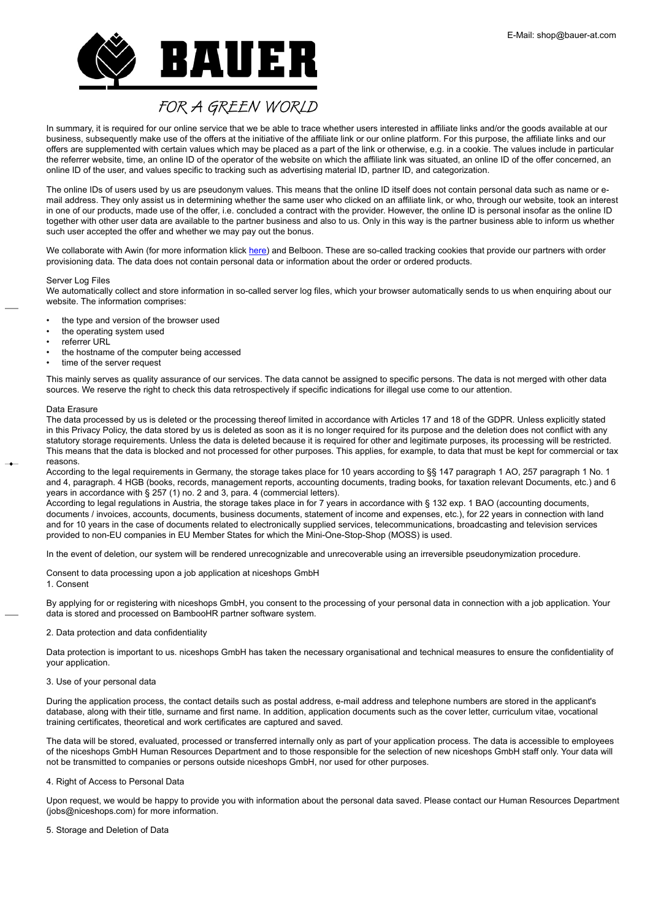

In summary, it is required for our online service that we be able to trace whether users interested in affiliate links and/or the goods available at our business, subsequently make use of the offers at the initiative of the affiliate link or our online platform. For this purpose, the affiliate links and our offers are supplemented with certain values which may be placed as a part of the link or otherwise, e.g. in a cookie. The values include in particular the referrer website, time, an online ID of the operator of the website on which the affiliate link was situated, an online ID of the offer concerned, an online ID of the user, and values specific to tracking such as advertising material ID, partner ID, and categorization.

The online IDs of users used by us are pseudonym values. This means that the online ID itself does not contain personal data such as name or email address. They only assist us in determining whether the same user who clicked on an affiliate link, or who, through our website, took an interest in one of our products, made use of the offer, i.e. concluded a contract with the provider. However, the online ID is personal insofar as the online ID together with other user data are available to the partner business and also to us. Only in this way is the partner business able to inform us whether such user accepted the offer and whether we may pay out the bonus.

We collaborate with Awin (for more information klick [here\)](#page-0-0) and Belboon. These are so-called tracking cookies that provide our partners with order provisioning data. The data does not contain personal data or information about the order or ordered products.

## Server Log Files

We automatically collect and store information in so-called server log files, which your browser automatically sends to us when enquiring about our website. The information comprises:

- the type and version of the browser used
- the operating system used
- referrer URL
- the hostname of the computer being accessed
- time of the server request

This mainly serves as quality assurance of our services. The data cannot be assigned to specific persons. The data is not merged with other data sources. We reserve the right to check this data retrospectively if specific indications for illegal use come to our attention.

## Data Erasure

The data processed by us is deleted or the processing thereof limited in accordance with Articles 17 and 18 of the GDPR. Unless explicitly stated in this Privacy Policy, the data stored by us is deleted as soon as it is no longer required for its purpose and the deletion does not conflict with any statutory storage requirements. Unless the data is deleted because it is required for other and legitimate purposes, its processing will be restricted. This means that the data is blocked and not processed for other purposes. This applies, for example, to data that must be kept for commercial or tax reasons.

According to the legal requirements in Germany, the storage takes place for 10 years according to §§ 147 paragraph 1 AO, 257 paragraph 1 No. 1 and 4, paragraph. 4 HGB (books, records, management reports, accounting documents, trading books, for taxation relevant Documents, etc.) and 6 years in accordance with § 257 (1) no. 2 and 3, para. 4 (commercial letters).

According to legal regulations in Austria, the storage takes place in for 7 years in accordance with § 132 exp. 1 BAO (accounting documents, documents / invoices, accounts, documents, business documents, statement of income and expenses, etc.), for 22 years in connection with land and for 10 years in the case of documents related to electronically supplied services, telecommunications, broadcasting and television services provided to non-EU companies in EU Member States for which the Mini-One-Stop-Shop (MOSS) is used.

In the event of deletion, our system will be rendered unrecognizable and unrecoverable using an irreversible pseudonymization procedure.

Consent to data processing upon a job application at niceshops GmbH

1. Consent

By applying for or registering with niceshops GmbH, you consent to the processing of your personal data in connection with a job application. Your data is stored and processed on BambooHR partner software system.

## 2. Data protection and data confidentiality

Data protection is important to us. niceshops GmbH has taken the necessary organisational and technical measures to ensure the confidentiality of your application.

## 3. Use of your personal data

During the application process, the contact details such as postal address, e-mail address and telephone numbers are stored in the applicant's database, along with their title, surname and first name. In addition, application documents such as the cover letter, curriculum vitae, vocational training certificates, theoretical and work certificates are captured and saved.

The data will be stored, evaluated, processed or transferred internally only as part of your application process. The data is accessible to employees of the niceshops GmbH Human Resources Department and to those responsible for the selection of new niceshops GmbH staff only. Your data will not be transmitted to companies or persons outside niceshops GmbH, nor used for other purposes.

## 4. Right of Access to Personal Data

Upon request, we would be happy to provide you with information about the personal data saved. Please contact our Human Resources Department (jobs@niceshops.com) for more information.

## 5. Storage and Deletion of Data